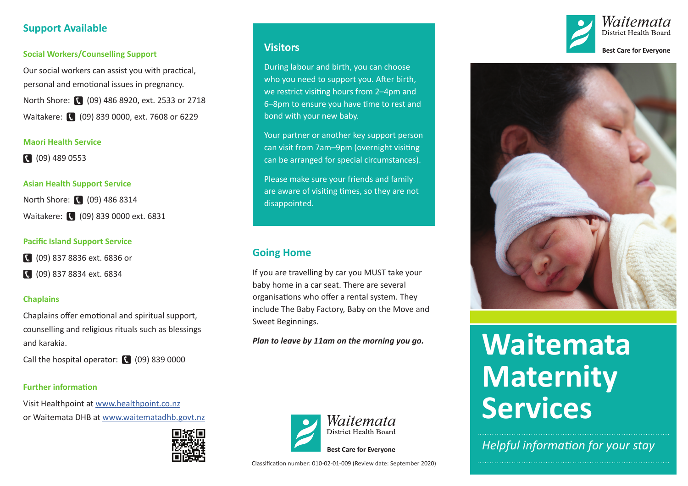## **Support Available**

#### **Social Workers/Counselling Support**

Our social workers can assist you with practical, personal and emotional issues in pregnancy. North Shore: (09) 486 8920, ext. 2533 or 2718 Waitakere: (209) 839 0000, ext. 7608 or 6229

#### **Maori Health Service**

(09) 489 0553

#### **Asian Health Support Service**

North Shore: (09) 486 8314 Waitakere: (09) 839 0000 ext. 6831

#### **Pacific Island Support Service**

(09) 837 8836 ext. 6836 or

(09) 837 8834 ext. 6834

#### **Chaplains**

Chaplains offer emotional and spiritual support, counselling and religious rituals such as blessings and karakia.

Call the hospital operator:  $\sqrt{(0.09)}$  839 0000

## **Further information**

Visit Healthpoint at [www.healthpoint.co.nz](http://www.healthpoint.co.nz) or Waitemata DHB at [www.waitematadhb.govt.nz](http://www.waitematadhb.govt.nz)



## **Visitors**

During labour and birth, you can choose who you need to support you. After birth, we restrict visiting hours from 2–4pm and 6–8pm to ensure you have time to rest and bond with your new baby.

Your partner or another key support person can visit from 7am–9pm (overnight visiting can be arranged for special circumstances).

Please make sure your friends and family are aware of visiting times, so they are not disappointed.

# **Going Home**

If you are travelling by car you MUST take your baby home in a car seat. There are several organisations who offer a rental system. They include The Baby Factory, Baby on the Move and Sweet Beginnings.

*Plan to leave by 11am on the morning you go.*







# **Waitemata Maternity Services**

*Helpful information for your stay*